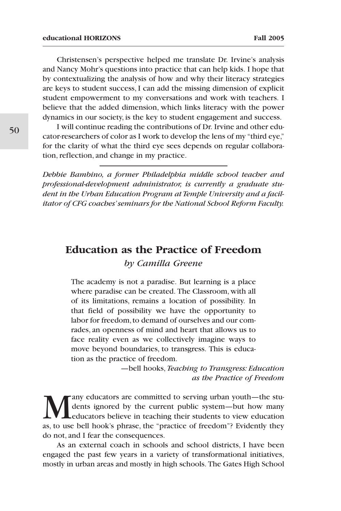Christensen's perspective helped me translate Dr. Irvine's analysis and Nancy Mohr's questions into practice that can help kids. I hope that by contextualizing the analysis of how and why their literacy strategies are keys to student success, I can add the missing dimension of explicit student empowerment to my conversations and work with teachers. I believe that the added dimension, which links literacy with the power dynamics in our society, is the key to student engagement and success.

I will continue reading the contributions of Dr. Irvine and other educator-researchers of color as I work to develop the lens of my "third eye," for the clarity of what the third eye sees depends on regular collaboration, reflection, and change in my practice.

*Debbie Bambino, a former Philadelphia middle school teacher and professional-development administrator, is currently a graduate student in the Urban Education Program at Temple University and a facilitator of CFG coaches'seminars for the National School Reform Faculty.*

## **Education as the Practice of Freedom** *by Camilla Greene*

The academy is not a paradise. But learning is a place where paradise can be created. The Classroom, with all of its limitations, remains a location of possibility. In that field of possibility we have the opportunity to labor for freedom, to demand of ourselves and our comrades, an openness of mind and heart that allows us to face reality even as we collectively imagine ways to move beyond boundaries, to transgress. This is education as the practice of freedom.

> —bell hooks, *Teaching to Transgress: Education as the Practice of Freedom*

Many educators are committed to serving urban youth—the stu-<br>dents ignored by the current public system—but how many<br>as to use bell hook's phrase the "practice of freedom"? Evidently they dents ignored by the current public system—but how many educators believe in teaching their students to view education as, to use bell hook's phrase, the "practice of freedom"? Evidently they do not, and I fear the consequences.

As an external coach in schools and school districts, I have been engaged the past few years in a variety of transformational initiatives, mostly in urban areas and mostly in high schools. The Gates High School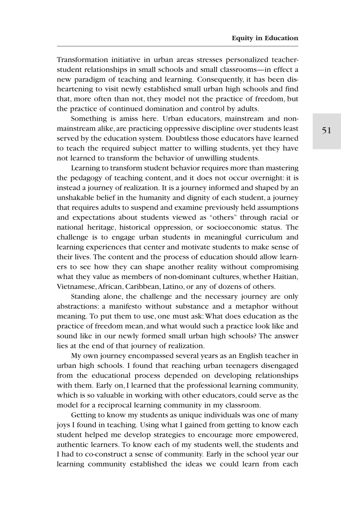Transformation initiative in urban areas stresses personalized teacherstudent relationships in small schools and small classrooms—in effect a new paradigm of teaching and learning. Consequently, it has been disheartening to visit newly established small urban high schools and find that, more often than not, they model not the practice of freedom, but the practice of continued domination and control by adults.

Something is amiss here. Urban educators, mainstream and nonmainstream alike, are practicing oppressive discipline over students least served by the education system. Doubtless those educators have learned to teach the required subject matter to willing students, yet they have not learned to transform the behavior of unwilling students.

Learning to transform student behavior requires more than mastering the pedagogy of teaching content, and it does not occur overnight: it is instead a journey of realization. It is a journey informed and shaped by an unshakable belief in the humanity and dignity of each student, a journey that requires adults to suspend and examine previously held assumptions and expectations about students viewed as "others" through racial or national heritage, historical oppression, or socioeconomic status. The challenge is to engage urban students in meaningful curriculum and learning experiences that center and motivate students to make sense of their lives. The content and the process of education should allow learners to see how they can shape another reality without compromising what they value as members of non-dominant cultures, whether Haitian, Vietnamese,African, Caribbean, Latino, or any of dozens of others.

Standing alone, the challenge and the necessary journey are only abstractions: a manifesto without substance and a metaphor without meaning. To put them to use, one must ask:What does education as the practice of freedom mean, and what would such a practice look like and sound like in our newly formed small urban high schools? The answer lies at the end of that journey of realization.

My own journey encompassed several years as an English teacher in urban high schools. I found that reaching urban teenagers disengaged from the educational process depended on developing relationships with them. Early on, I learned that the professional learning community, which is so valuable in working with other educators, could serve as the model for a reciprocal learning community in my classroom.

Getting to know my students as unique individuals was one of many joys I found in teaching. Using what I gained from getting to know each student helped me develop strategies to encourage more empowered, authentic learners. To know each of my students well, the students and I had to co-construct a sense of community. Early in the school year our learning community established the ideas we could learn from each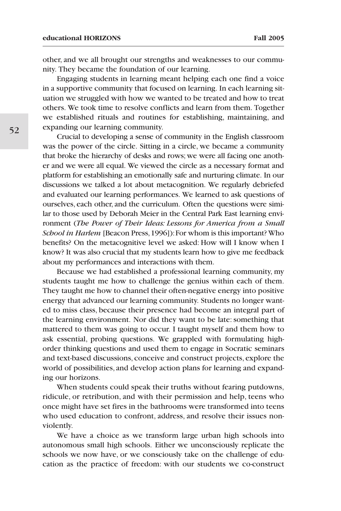other, and we all brought our strengths and weaknesses to our community. They became the foundation of our learning.

Engaging students in learning meant helping each one find a voice in a supportive community that focused on learning. In each learning situation we struggled with how we wanted to be treated and how to treat others. We took time to resolve conflicts and learn from them. Together we established rituals and routines for establishing, maintaining, and expanding our learning community.

Crucial to developing a sense of community in the English classroom was the power of the circle. Sitting in a circle, we became a community that broke the hierarchy of desks and rows; we were all facing one another and we were all equal. We viewed the circle as a necessary format and platform for establishing an emotionally safe and nurturing climate. In our discussions we talked a lot about metacognition. We regularly debriefed and evaluated our learning performances. We learned to ask questions of ourselves, each other, and the curriculum. Often the questions were similar to those used by Deborah Meier in the Central Park East learning environment (*The Power of Their Ideas: Lessons for America from a Small School in Harlem* [Beacon Press,1996]):For whom is this important? Who benefits? On the metacognitive level we asked: How will I know when I know? It was also crucial that my students learn how to give me feedback about my performances and interactions with them.

Because we had established a professional learning community, my students taught me how to challenge the genius within each of them. They taught me how to channel their often-negative energy into positive energy that advanced our learning community. Students no longer wanted to miss class, because their presence had become an integral part of the learning environment. Nor did they want to be late: something that mattered to them was going to occur. I taught myself and them how to ask essential, probing questions. We grappled with formulating highorder thinking questions and used them to engage in Socratic seminars and text-based discussions, conceive and construct projects, explore the world of possibilities, and develop action plans for learning and expanding our horizons.

When students could speak their truths without fearing putdowns, ridicule, or retribution, and with their permission and help, teens who once might have set fires in the bathrooms were transformed into teens who used education to confront, address, and resolve their issues nonviolently.

We have a choice as we transform large urban high schools into autonomous small high schools. Either we unconsciously replicate the schools we now have, or we consciously take on the challenge of education as the practice of freedom: with our students we co-construct